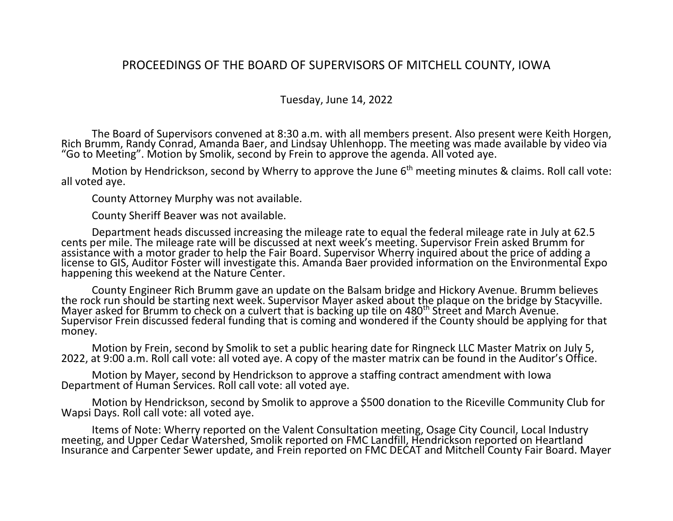## PROCEEDINGS OF THE BOARD OF SUPERVISORS OF MITCHELL COUNTY, IOWA

## Tuesday, June 14, 2022

The Board of Supervisors convened at 8:30 a.m. with all members present. Also present were Keith Horgen, Rich Brumm, Randy Conrad, Amanda Baer, and Lindsay Uhlenhopp. The meeting was made available by video via "Go to Meeting". Motion by Smolik, second by Frein to approve the agenda. All voted aye.

Motion by Hendrickson, second by Wherry to approve the June  $6<sup>th</sup>$  meeting minutes & claims. Roll call vote: all voted aye.

County Attorney Murphy was not available.

County Sheriff Beaver was not available.

Department heads discussed increasing the mileage rate to equal the federal mileage rate in July at 62.5 cents per mile. The mileage rate will be discussed at next week's meeting. Supervisor Frein asked Brumm for assistance with a motor grader to help the Fair Board. Supervisor Wherry inquired about the price of adding a license to GIS, Auditor Foster will investigate this. Amanda Baer provided information on the Environmental Expo happening this weekend at the Nature Center.

County Engineer Rich Brumm gave an update on the Balsam bridge and Hickory Avenue. Brumm believes the rock run should be starting next week. Supervisor Mayer asked about the plaque on the bridge by Stacyville. Mayer asked for Brumm to check on a culvert that is backing up tile on 480<sup>th</sup> Street and March Avenue. Supervisor Frein discussed federal funding that is coming and wondered if the County should be applying for that money.

Motion by Frein, second by Smolik to set a public hearing date for Ringneck LLC Master Matrix on July 5, 2022, at 9:00 a.m. Roll call vote: all voted aye. A copy of the master matrix can be found in the Auditor's Office.

Motion by Mayer, second by Hendrickson to approve a staffing contract amendment with Iowa Department of Human Services. Roll call vote: all voted aye.

Motion by Hendrickson, second by Smolik to approve a \$500 donation to the Riceville Community Club for Wapsi Days. Roll call vote: all voted aye.

Items of Note: Wherry reported on the Valent Consultation meeting, Osage City Council, Local Industry meeting, and Upper Cedar Watershed, Smolik reported on FMC Landfill, Hendrickson reported on Heartland Insurance and Carpenter Sewer update, and Frein reported on FMC DECAT and Mitchell County Fair Board. Mayer